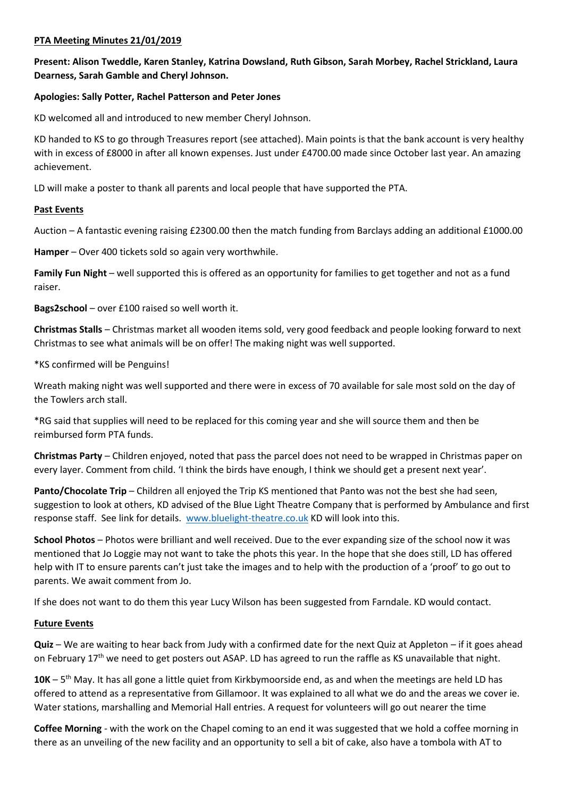## **PTA Meeting Minutes 21/01/2019**

## **Present: Alison Tweddle, Karen Stanley, Katrina Dowsland, Ruth Gibson, Sarah Morbey, Rachel Strickland, Laura Dearness, Sarah Gamble and Cheryl Johnson.**

## **Apologies: Sally Potter, Rachel Patterson and Peter Jones**

KD welcomed all and introduced to new member Cheryl Johnson.

KD handed to KS to go through Treasures report (see attached). Main points is that the bank account is very healthy with in excess of £8000 in after all known expenses. Just under £4700.00 made since October last year. An amazing achievement.

LD will make a poster to thank all parents and local people that have supported the PTA.

#### **Past Events**

Auction – A fantastic evening raising £2300.00 then the match funding from Barclays adding an additional £1000.00

**Hamper** – Over 400 tickets sold so again very worthwhile.

**Family Fun Night** – well supported this is offered as an opportunity for families to get together and not as a fund raiser.

**Bags2school** – over £100 raised so well worth it.

**Christmas Stalls** – Christmas market all wooden items sold, very good feedback and people looking forward to next Christmas to see what animals will be on offer! The making night was well supported.

\*KS confirmed will be Penguins!

Wreath making night was well supported and there were in excess of 70 available for sale most sold on the day of the Towlers arch stall.

\*RG said that supplies will need to be replaced for this coming year and she will source them and then be reimbursed form PTA funds.

**Christmas Party** – Children enjoyed, noted that pass the parcel does not need to be wrapped in Christmas paper on every layer. Comment from child. 'I think the birds have enough, I think we should get a present next year'.

**Panto/Chocolate Trip** – Children all enjoyed the Trip KS mentioned that Panto was not the best she had seen, suggestion to look at others, KD advised of the Blue Light Theatre Company that is performed by Ambulance and first response staff. See link for details. [www.bluelight-theatre.co.uk](http://www.bluelight-theatre.co.uk/) KD will look into this.

**School Photos** – Photos were brilliant and well received. Due to the ever expanding size of the school now it was mentioned that Jo Loggie may not want to take the phots this year. In the hope that she does still, LD has offered help with IT to ensure parents can't just take the images and to help with the production of a 'proof' to go out to parents. We await comment from Jo.

If she does not want to do them this year Lucy Wilson has been suggested from Farndale. KD would contact.

## **Future Events**

**Quiz** – We are waiting to hear back from Judy with a confirmed date for the next Quiz at Appleton – if it goes ahead on February 17<sup>th</sup> we need to get posters out ASAP. LD has agreed to run the raffle as KS unavailable that night.

10K – 5<sup>th</sup> May. It has all gone a little quiet from Kirkbymoorside end, as and when the meetings are held LD has offered to attend as a representative from Gillamoor. It was explained to all what we do and the areas we cover ie. Water stations, marshalling and Memorial Hall entries. A request for volunteers will go out nearer the time

**Coffee Morning** - with the work on the Chapel coming to an end it was suggested that we hold a coffee morning in there as an unveiling of the new facility and an opportunity to sell a bit of cake, also have a tombola with AT to